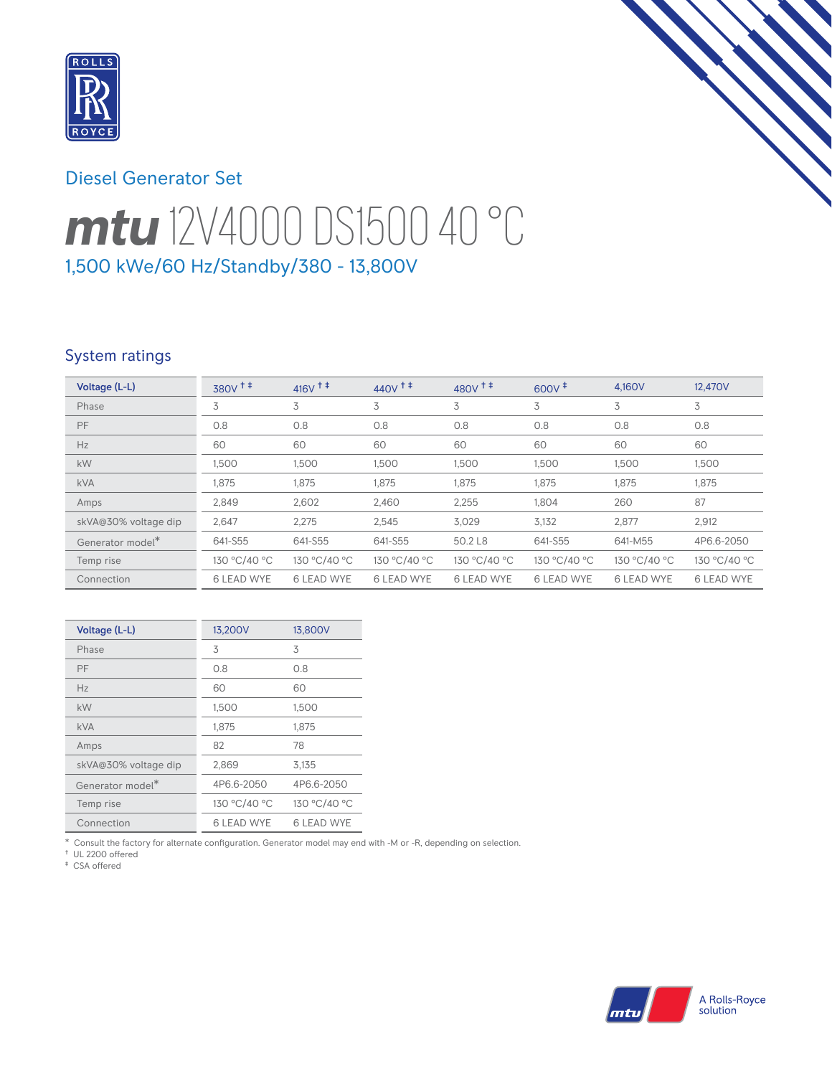

## Diesel Generator Set

# *mtu* 12V4000 DS1500 40 °C 1,500 kWe/60 Hz/Standby/380 - 13,800V

## System ratings

| Voltage (L-L)        | $380V$ <sup>++</sup> | $416V$ <sup>++</sup> | $440V$ <sup>++</sup> | $480V^{\dagger}$  | $600V^{\ddagger}$ | 4.160V            | 12.470V           |
|----------------------|----------------------|----------------------|----------------------|-------------------|-------------------|-------------------|-------------------|
| Phase                | 3                    | 3                    | 3                    | 3                 | 3                 | 3                 | 3                 |
| PF                   | 0.8                  | 0.8                  | 0.8                  | 0.8               | 0.8               | 0.8               | 0.8               |
| Hz                   | 60                   | 60                   | 60                   | 60                | 60                | 60                | 60                |
| kW                   | 1,500                | 1,500                | 1,500                | 1,500             | 1,500             | 1,500             | 1,500             |
| <b>kVA</b>           | 1,875                | 1,875                | 1,875                | 1,875             | 1,875             | 1,875             | 1,875             |
| Amps                 | 2,849                | 2,602                | 2,460                | 2,255             | 1,804             | 260               | 87                |
| skVA@30% voltage dip | 2,647                | 2,275                | 2,545                | 3,029             | 3,132             | 2,877             | 2,912             |
| Generator model*     | 641-S55              | 641-S55              | 641-S55              | 50.2 L8           | 641-S55           | 641-M55           | 4P6.6-2050        |
| Temp rise            | 130 °C/40 °C         | 130 °C/40 °C         | 130 °C/40 °C         | 130 °C/40 °C      | 130 °C/40 °C      | 130 °C/40 °C      | 130 °C/40 °C      |
| Connection           | <b>6 LEAD WYE</b>    | <b>6 LEAD WYE</b>    | <b>6 LEAD WYE</b>    | <b>6 LEAD WYE</b> | <b>6 LEAD WYE</b> | <b>6 LEAD WYE</b> | <b>6 LEAD WYE</b> |

| Voltage (L-L)                | 13,200V      | 13,800V      |
|------------------------------|--------------|--------------|
| Phase                        | 3            | 3            |
| PF                           | 0.8          | 0.8          |
| Hz                           | 60           | 60           |
| kW                           | 1,500        | 1,500        |
| <b>kVA</b>                   | 1.875        | 1.875        |
| Amps                         | 82           | 78           |
| skVA@30% voltage dip         | 2,869        | 3.135        |
| Generator model <sup>*</sup> | 4P6.6-2050   | 4P6.6-2050   |
| Temp rise                    | 130 °C/40 °C | 130 °C/40 °C |
| Connection                   | 6 I FAD WYF  | 6 I FAD WYF  |

\* Consult the factory for alternate configuration. Generator model may end with -M or -R, depending on selection.

† UL 2200 offered ‡ CSA offered

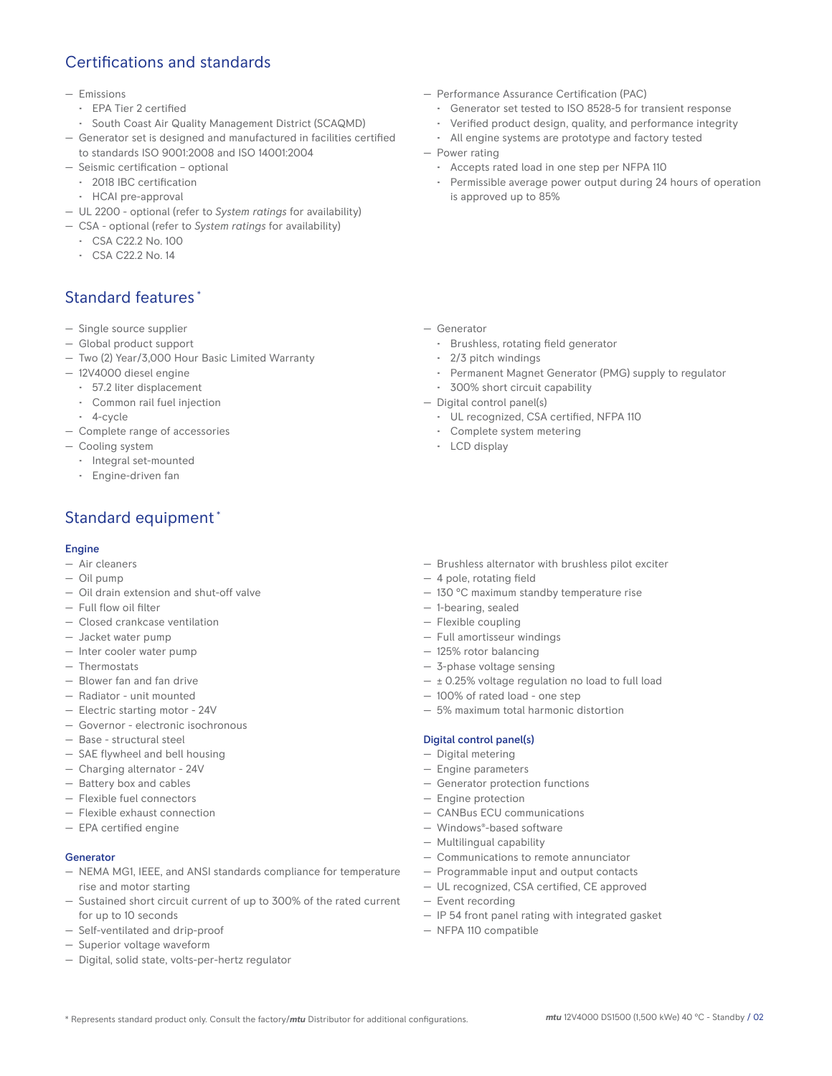## Certifications and standards

#### — Emissions

- EPA Tier 2 certified
- South Coast Air Quality Management District (SCAQMD)
- Generator set is designed and manufactured in facilities certified to standards ISO 9001:2008 and ISO 14001:2004
- Seismic certification optional
	- 2018 IBC certification
	- HCAI pre-approval
- UL 2200 optional (refer to *System ratings* for availability)
- CSA optional (refer to *System ratings* for availability)
	- CSA C22.2 No. 100
	- CSA C22.2 No. 14

## Standard features \*

- Single source supplier
- Global product support
- Two (2) Year/3,000 Hour Basic Limited Warranty
- 12V4000 diesel engine
	- 57.2 liter displacement
	- Common rail fuel injection
	- 4-cycle
- Complete range of accessories
- Cooling system
	- Integral set-mounted
	- Engine-driven fan

## Standard equipment \*

#### Engine

- Air cleaners
- Oil pump
- Oil drain extension and shut-off valve
- Full flow oil filter
- Closed crankcase ventilation
- Jacket water pump
- Inter cooler water pump
- Thermostats
- Blower fan and fan drive
- Radiator unit mounted
- Electric starting motor 24V
- Governor electronic isochronous
- Base structural steel
- SAE flywheel and bell housing
- Charging alternator 24V
- Battery box and cables
- Flexible fuel connectors
- Flexible exhaust connection
- EPA certified engine

#### Generator

- NEMA MG1, IEEE, and ANSI standards compliance for temperature rise and motor starting
- Sustained short circuit current of up to 300% of the rated current for up to 10 seconds
- Self-ventilated and drip-proof
- Superior voltage waveform
- Digital, solid state, volts-per-hertz regulator
- Performance Assurance Certification (PAC)
	- Generator set tested to ISO 8528-5 for transient response
	- Verified product design, quality, and performance integrity
	- All engine systems are prototype and factory tested
- Power rating
	- Accepts rated load in one step per NFPA 110
	- Permissible average power output during 24 hours of operation is approved up to 85%

- Generator
	- Brushless, rotating field generator
	- 2/3 pitch windings
	- Permanent Magnet Generator (PMG) supply to regulator
	- 300% short circuit capability
- Digital control panel(s)
	- UL recognized, CSA certified, NFPA 110
	- Complete system metering
	- LCD display
- Brushless alternator with brushless pilot exciter
- 4 pole, rotating field
- 130 °C maximum standby temperature rise
- 1-bearing, sealed
- Flexible coupling
- Full amortisseur windings
- 125% rotor balancing
- 3-phase voltage sensing
- $\pm$  0.25% voltage regulation no load to full load
- 100% of rated load one step
- 5% maximum total harmonic distortion

#### Digital control panel(s)

- Digital metering
- Engine parameters
- Generator protection functions
- Engine protection
- CANBus ECU communications
- Windows®-based software
- Multilingual capability
- Communications to remote annunciator
- Programmable input and output contacts
- UL recognized, CSA certified, CE approved
- Event recording
- IP 54 front panel rating with integrated gasket
- NFPA 110 compatible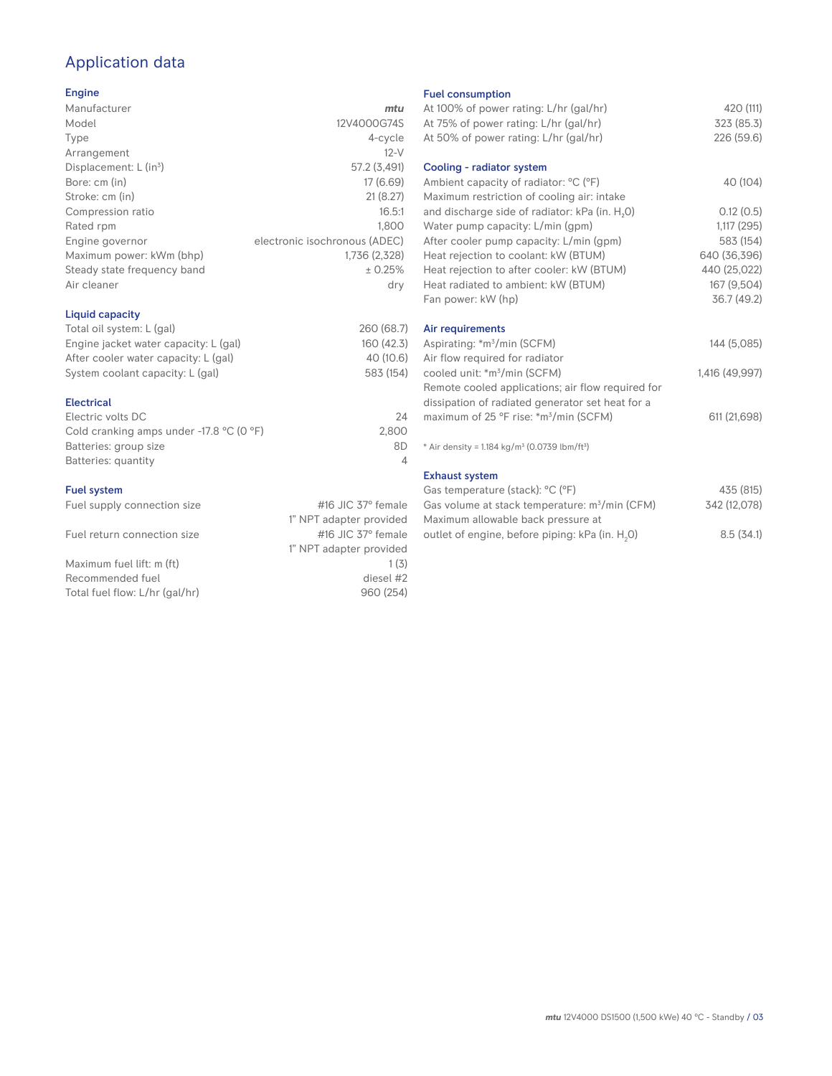## Application data

#### Engine

| Manufacturer                         | mtu                           |
|--------------------------------------|-------------------------------|
| Model                                | 12V4000G74S                   |
| Type                                 | 4-cycle                       |
| Arrangement                          | $12-V$                        |
| Displacement: $L$ (in <sup>3</sup> ) | 57.2 (3,491)                  |
| Bore: cm (in)                        | 17 (6.69)                     |
| Stroke: cm (in)                      | 21(8.27)                      |
| Compression ratio                    | 16.5:1                        |
| Rated rpm                            | 1,800                         |
| Engine governor                      | electronic isochronous (ADEC) |
| Maximum power: kWm (bhp)             | 1,736 (2,328)                 |
| Steady state frequency band          | ± 0.25%                       |
| Air cleaner                          | dry                           |
|                                      |                               |

#### Liquid capacity

| Total oil system: L (gal)             | 260 (68.7) |
|---------------------------------------|------------|
| Engine jacket water capacity: L (gal) | 160 (42.3) |
| After cooler water capacity: L (gal)  | 40 (10.6)  |
| System coolant capacity: L (gal)      | 583 (154)  |
|                                       |            |

#### Electrical

| 24    |
|-------|
| 2.800 |
| 8D    |
|       |
|       |

#### Fuel system

| Fuel supply connection size    | #16 JIC $37^\circ$ female |
|--------------------------------|---------------------------|
|                                | 1" NPT adapter provided   |
| Fuel return connection size    | #16 JIC $37^\circ$ female |
|                                | 1" NPT adapter provided   |
| Maximum fuel lift: m (ft)      | 1(3)                      |
| Recommended fuel               | diesel #2                 |
| Total fuel flow: L/hr (gal/hr) | 960 (254)                 |
|                                |                           |

#### Fuel consumption

| At 100% of power rating: L/hr (gal/hr)<br>At 75% of power rating: L/hr (gal/hr)     | 420 (111)<br>323 (85.3) |
|-------------------------------------------------------------------------------------|-------------------------|
| At 50% of power rating: L/hr (gal/hr)                                               | 226 (59.6)              |
| Cooling - radiator system                                                           |                         |
| Ambient capacity of radiator: °C (°F)<br>Maximum restriction of cooling air: intake | 40 (104)                |
| and discharge side of radiator: kPa (in. H <sub>2</sub> O)                          | 0.12(0.5)               |
| Water pump capacity: L/min (gpm)                                                    | 1,117(295)              |
| After cooler pump capacity: L/min (gpm)                                             | 583 (154)               |
| Heat rejection to coolant: kW (BTUM)                                                | 640 (36,396)            |
| Heat rejection to after cooler: kW (BTUM)                                           | 440 (25,022)            |
| Heat radiated to ambient: kW (BTUM)                                                 | 167 (9,504)             |
| Fan power: kW (hp)                                                                  | 36.7 (49.2)             |
| Air requirements                                                                    |                         |
| Aspirating: *m <sup>3</sup> /min (SCFM)                                             | 144 (5,085)             |
| Air flow required for radiator                                                      |                         |
| cooled unit: *m <sup>3</sup> /min (SCFM)                                            | 1,416 (49,997)          |
| Remote cooled applications; air flow required for                                   |                         |
| dissipation of radiated generator set heat for a                                    |                         |
| maximum of 25 °F rise: *m <sup>3</sup> /min (SCFM)                                  | 611 (21,698)            |
| * Air density = 1.184 kg/m <sup>3</sup> (0.0739 lbm/ft <sup>3</sup> )               |                         |
| <b>Exhaust system</b>                                                               |                         |
| Gas temperature (stack): °C (°F)                                                    | 435 (815)               |
| Gas volume at stack temperature: $m^3/m$ in (CFM)                                   | 342 (12,078)            |
|                                                                                     |                         |

| <u>Udd volume at stack temperature. In film for MJ</u>      | $U-TL$ $1L, U+U$ |
|-------------------------------------------------------------|------------------|
| Maximum allowable back pressure at                          |                  |
| outlet of engine, before piping: kPa (in. H <sub>2</sub> O) | 8.5(34.1)        |